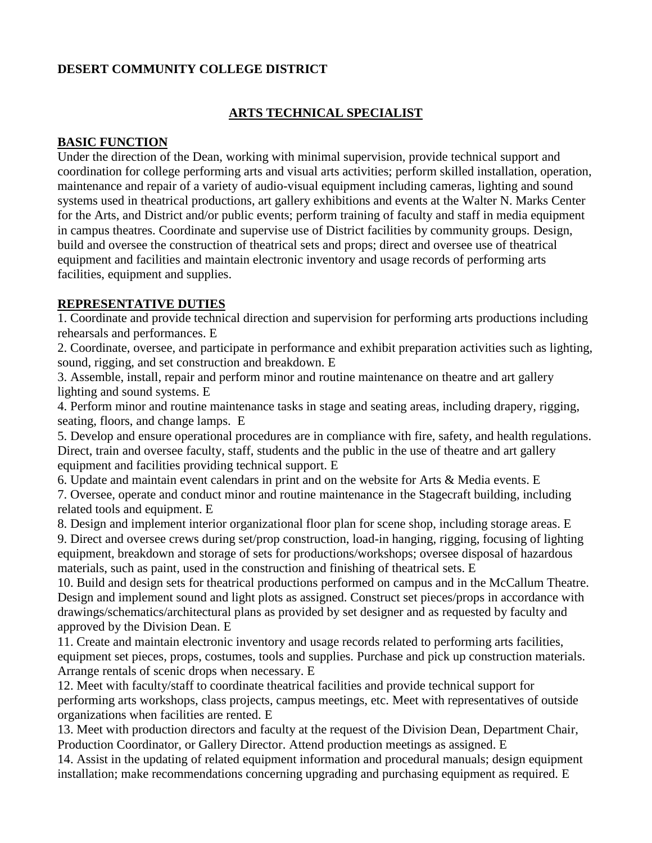# **DESERT COMMUNITY COLLEGE DISTRICT**

### **ARTS TECHNICAL SPECIALIST**

#### **BASIC FUNCTION**

Under the direction of the Dean, working with minimal supervision, provide technical support and coordination for college performing arts and visual arts activities; perform skilled installation, operation, maintenance and repair of a variety of audio-visual equipment including cameras, lighting and sound systems used in theatrical productions, art gallery exhibitions and events at the Walter N. Marks Center for the Arts, and District and/or public events; perform training of faculty and staff in media equipment in campus theatres. Coordinate and supervise use of District facilities by community groups. Design, build and oversee the construction of theatrical sets and props; direct and oversee use of theatrical equipment and facilities and maintain electronic inventory and usage records of performing arts facilities, equipment and supplies.

#### **REPRESENTATIVE DUTIES**

1. Coordinate and provide technical direction and supervision for performing arts productions including rehearsals and performances. E

2. Coordinate, oversee, and participate in performance and exhibit preparation activities such as lighting, sound, rigging, and set construction and breakdown. E

3. Assemble, install, repair and perform minor and routine maintenance on theatre and art gallery lighting and sound systems. E

4. Perform minor and routine maintenance tasks in stage and seating areas, including drapery, rigging, seating, floors, and change lamps. E

5. Develop and ensure operational procedures are in compliance with fire, safety, and health regulations. Direct, train and oversee faculty, staff, students and the public in the use of theatre and art gallery equipment and facilities providing technical support. E

6. Update and maintain event calendars in print and on the website for Arts & Media events. E 7. Oversee, operate and conduct minor and routine maintenance in the Stagecraft building, including

related tools and equipment. E

8. Design and implement interior organizational floor plan for scene shop, including storage areas. E 9. Direct and oversee crews during set/prop construction, load-in hanging, rigging, focusing of lighting equipment, breakdown and storage of sets for productions/workshops; oversee disposal of hazardous materials, such as paint, used in the construction and finishing of theatrical sets. E

10. Build and design sets for theatrical productions performed on campus and in the McCallum Theatre. Design and implement sound and light plots as assigned. Construct set pieces/props in accordance with drawings/schematics/architectural plans as provided by set designer and as requested by faculty and approved by the Division Dean. E

11. Create and maintain electronic inventory and usage records related to performing arts facilities, equipment set pieces, props, costumes, tools and supplies. Purchase and pick up construction materials. Arrange rentals of scenic drops when necessary. E

12. Meet with faculty/staff to coordinate theatrical facilities and provide technical support for performing arts workshops, class projects, campus meetings, etc. Meet with representatives of outside organizations when facilities are rented. E

13. Meet with production directors and faculty at the request of the Division Dean, Department Chair, Production Coordinator, or Gallery Director. Attend production meetings as assigned. E

14. Assist in the updating of related equipment information and procedural manuals; design equipment installation; make recommendations concerning upgrading and purchasing equipment as required. E